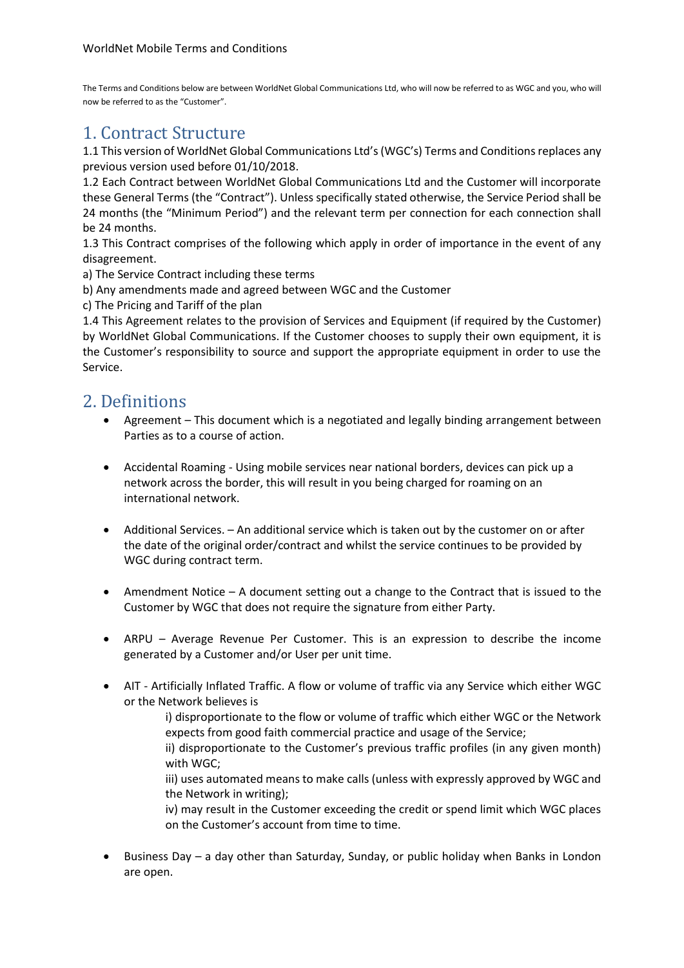The Terms and Conditions below are between WorldNet Global Communications Ltd, who will now be referred to as WGC and you, who will now be referred to as the "Customer".

## 1. Contract Structure

1.1 This version of WorldNet Global Communications Ltd's(WGC's) Terms and Conditions replaces any previous version used before 01/10/2018.

1.2 Each Contract between WorldNet Global Communications Ltd and the Customer will incorporate these General Terms (the "Contract"). Unless specifically stated otherwise, the Service Period shall be 24 months (the "Minimum Period") and the relevant term per connection for each connection shall be 24 months.

1.3 This Contract comprises of the following which apply in order of importance in the event of any disagreement.

a) The Service Contract including these terms

b) Any amendments made and agreed between WGC and the Customer

c) The Pricing and Tariff of the plan

1.4 This Agreement relates to the provision of Services and Equipment (if required by the Customer) by WorldNet Global Communications. If the Customer chooses to supply their own equipment, it is the Customer's responsibility to source and support the appropriate equipment in order to use the Service.

#### 2. Definitions

- Agreement This document which is a negotiated and legally binding arrangement between Parties as to a course of action.
- Accidental Roaming Using mobile services near national borders, devices can pick up a network across the border, this will result in you being charged for roaming on an international network.
- Additional Services. An additional service which is taken out by the customer on or after the date of the original order/contract and whilst the service continues to be provided by WGC during contract term.
- Amendment Notice A document setting out a change to the Contract that is issued to the Customer by WGC that does not require the signature from either Party.
- ARPU Average Revenue Per Customer. This is an expression to describe the income generated by a Customer and/or User per unit time.
- AIT Artificially Inflated Traffic. A flow or volume of traffic via any Service which either WGC or the Network believes is

i) disproportionate to the flow or volume of traffic which either WGC or the Network expects from good faith commercial practice and usage of the Service;

ii) disproportionate to the Customer's previous traffic profiles (in any given month) with WGC;

iii) uses automated means to make calls (unless with expressly approved by WGC and the Network in writing);

iv) may result in the Customer exceeding the credit or spend limit which WGC places on the Customer's account from time to time.

• Business Day – a day other than Saturday, Sunday, or public holiday when Banks in London are open.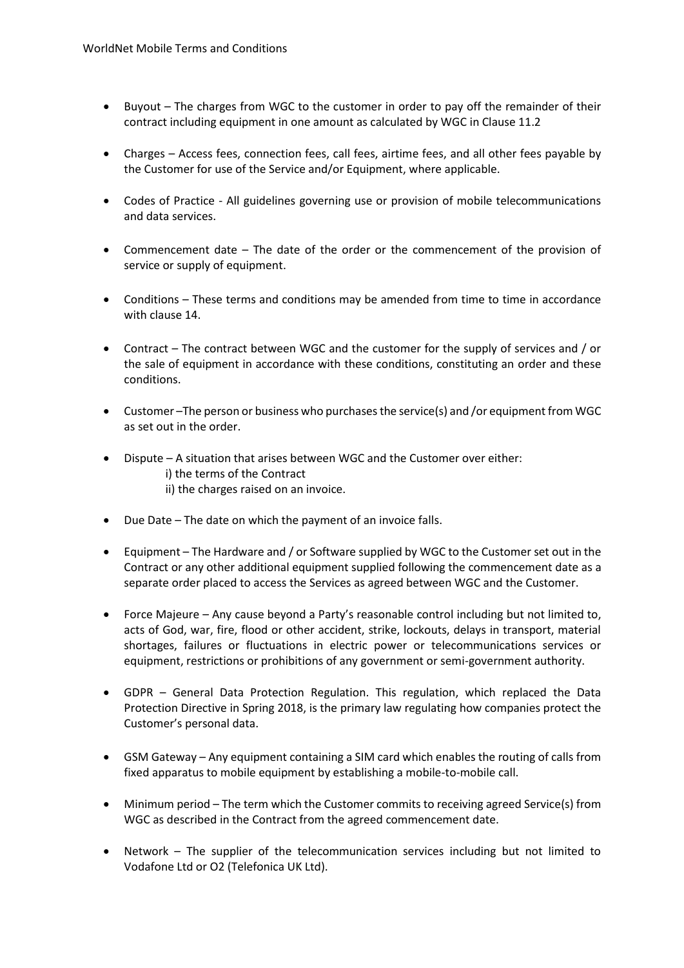- Buyout The charges from WGC to the customer in order to pay off the remainder of their contract including equipment in one amount as calculated by WGC in Clause 11.2
- Charges Access fees, connection fees, call fees, airtime fees, and all other fees payable by the Customer for use of the Service and/or Equipment, where applicable.
- Codes of Practice All guidelines governing use or provision of mobile telecommunications and data services.
- Commencement date The date of the order or the commencement of the provision of service or supply of equipment.
- Conditions These terms and conditions may be amended from time to time in accordance with clause 14.
- Contract The contract between WGC and the customer for the supply of services and / or the sale of equipment in accordance with these conditions, constituting an order and these conditions.
- Customer –The person or business who purchases the service(s) and /or equipment from WGC as set out in the order.
- Dispute A situation that arises between WGC and the Customer over either: i) the terms of the Contract ii) the charges raised on an invoice.
- Due Date The date on which the payment of an invoice falls.
- Equipment The Hardware and / or Software supplied by WGC to the Customer set out in the Contract or any other additional equipment supplied following the commencement date as a separate order placed to access the Services as agreed between WGC and the Customer.
- Force Majeure Any cause beyond a Party's reasonable control including but not limited to, acts of God, war, fire, flood or other accident, strike, lockouts, delays in transport, material shortages, failures or fluctuations in electric power or telecommunications services or equipment, restrictions or prohibitions of any government or semi-government authority.
- GDPR General Data Protection Regulation. This regulation, which replaced the Data Protection Directive in Spring 2018, is the primary law regulating how companies protect the Customer's personal data.
- GSM Gateway Any equipment containing a SIM card which enables the routing of calls from fixed apparatus to mobile equipment by establishing a mobile-to-mobile call.
- Minimum period The term which the Customer commits to receiving agreed Service(s) from WGC as described in the Contract from the agreed commencement date.
- Network The supplier of the telecommunication services including but not limited to Vodafone Ltd or O2 (Telefonica UK Ltd).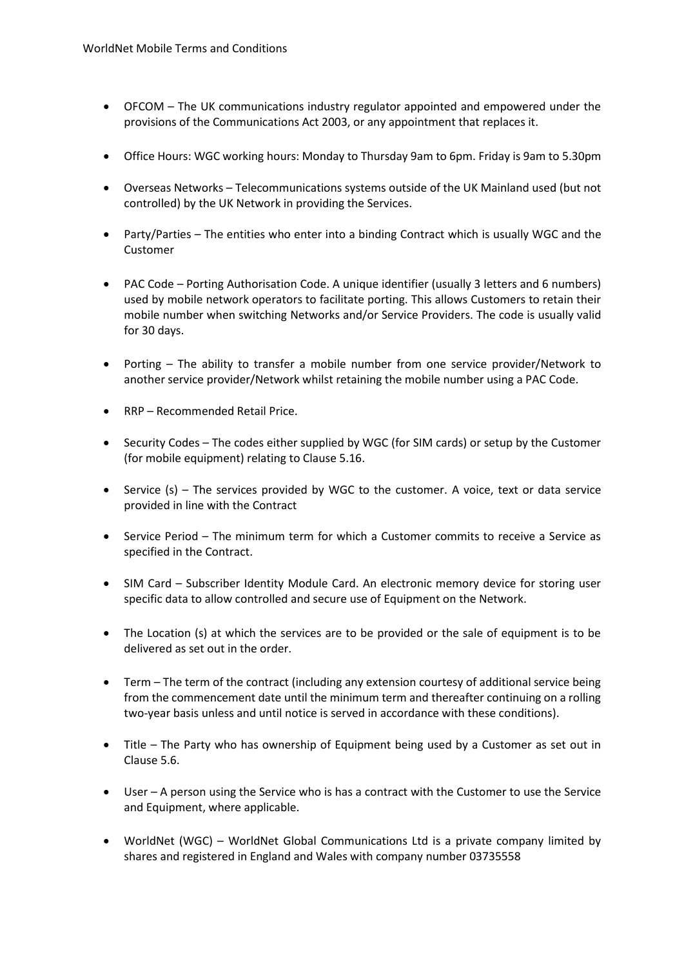- OFCOM The UK communications industry regulator appointed and empowered under the provisions of the Communications Act 2003, or any appointment that replaces it.
- Office Hours: WGC working hours: Monday to Thursday 9am to 6pm. Friday is 9am to 5.30pm
- Overseas Networks Telecommunications systems outside of the UK Mainland used (but not controlled) by the UK Network in providing the Services.
- Party/Parties The entities who enter into a binding Contract which is usually WGC and the Customer
- PAC Code Porting Authorisation Code. A unique identifier (usually 3 letters and 6 numbers) used by mobile network operators to facilitate porting. This allows Customers to retain their mobile number when switching Networks and/or Service Providers. The code is usually valid for 30 days.
- Porting The ability to transfer a mobile number from one service provider/Network to another service provider/Network whilst retaining the mobile number using a PAC Code.
- RRP Recommended Retail Price.
- Security Codes The codes either supplied by WGC (for SIM cards) or setup by the Customer (for mobile equipment) relating to Clause 5.16.
- Service (s) The services provided by WGC to the customer. A voice, text or data service provided in line with the Contract
- Service Period The minimum term for which a Customer commits to receive a Service as specified in the Contract.
- SIM Card Subscriber Identity Module Card. An electronic memory device for storing user specific data to allow controlled and secure use of Equipment on the Network.
- The Location (s) at which the services are to be provided or the sale of equipment is to be delivered as set out in the order.
- Term The term of the contract (including any extension courtesy of additional service being from the commencement date until the minimum term and thereafter continuing on a rolling two-year basis unless and until notice is served in accordance with these conditions).
- Title The Party who has ownership of Equipment being used by a Customer as set out in Clause 5.6.
- User A person using the Service who is has a contract with the Customer to use the Service and Equipment, where applicable.
- WorldNet (WGC) WorldNet Global Communications Ltd is a private company limited by shares and registered in England and Wales with company number 03735558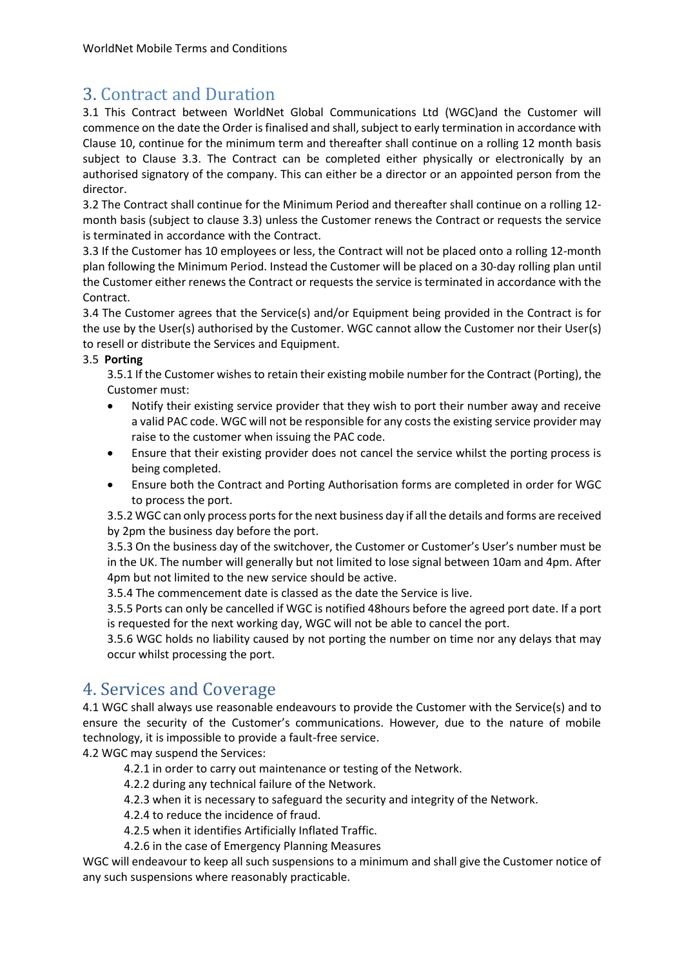## 3. Contract and Duration

3.1 This Contract between WorldNet Global Communications Ltd (WGC)and the Customer will commence on the date the Order is finalised and shall, subject to early termination in accordance with Clause 10, continue for the minimum term and thereafter shall continue on a rolling 12 month basis subject to Clause 3.3. The Contract can be completed either physically or electronically by an authorised signatory of the company. This can either be a director or an appointed person from the director.

3.2 The Contract shall continue for the Minimum Period and thereafter shall continue on a rolling 12 month basis (subject to clause 3.3) unless the Customer renews the Contract or requests the service is terminated in accordance with the Contract.

3.3 If the Customer has 10 employees or less, the Contract will not be placed onto a rolling 12-month plan following the Minimum Period. Instead the Customer will be placed on a 30-day rolling plan until the Customer either renews the Contract or requests the service is terminated in accordance with the Contract.

3.4 The Customer agrees that the Service(s) and/or Equipment being provided in the Contract is for the use by the User(s) authorised by the Customer. WGC cannot allow the Customer nor their User(s) to resell or distribute the Services and Equipment.

#### 3.5 **Porting**

3.5.1 If the Customer wishes to retain their existing mobile number for the Contract (Porting), the Customer must:

- Notify their existing service provider that they wish to port their number away and receive a valid PAC code. WGC will not be responsible for any costs the existing service provider may raise to the customer when issuing the PAC code.
- Ensure that their existing provider does not cancel the service whilst the porting process is being completed.
- Ensure both the Contract and Porting Authorisation forms are completed in order for WGC to process the port.

3.5.2 WGC can only process ports for the next business day if all the details and forms are received by 2pm the business day before the port.

3.5.3 On the business day of the switchover, the Customer or Customer's User's number must be in the UK. The number will generally but not limited to lose signal between 10am and 4pm. After 4pm but not limited to the new service should be active.

3.5.4 The commencement date is classed as the date the Service is live.

3.5.5 Ports can only be cancelled if WGC is notified 48hours before the agreed port date. If a port is requested for the next working day, WGC will not be able to cancel the port.

3.5.6 WGC holds no liability caused by not porting the number on time nor any delays that may occur whilst processing the port.

## 4. Services and Coverage

4.1 WGC shall always use reasonable endeavours to provide the Customer with the Service(s) and to ensure the security of the Customer's communications. However, due to the nature of mobile technology, it is impossible to provide a fault-free service.

4.2 WGC may suspend the Services:

4.2.1 in order to carry out maintenance or testing of the Network.

4.2.2 during any technical failure of the Network.

4.2.3 when it is necessary to safeguard the security and integrity of the Network.

4.2.4 to reduce the incidence of fraud.

4.2.5 when it identifies Artificially Inflated Traffic.

4.2.6 in the case of Emergency Planning Measures

WGC will endeavour to keep all such suspensions to a minimum and shall give the Customer notice of any such suspensions where reasonably practicable.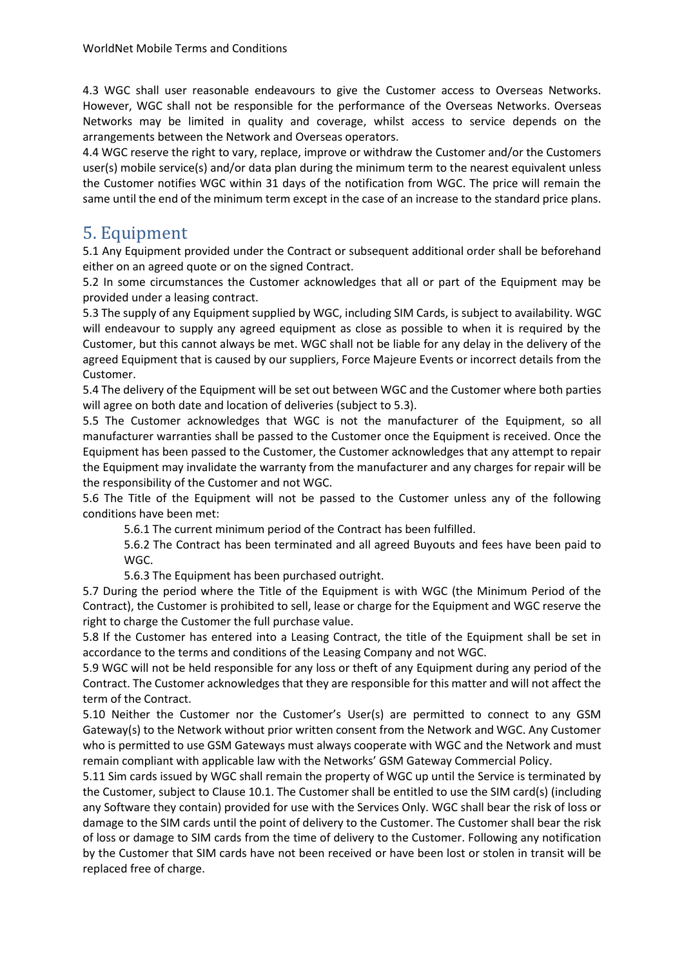4.3 WGC shall user reasonable endeavours to give the Customer access to Overseas Networks. However, WGC shall not be responsible for the performance of the Overseas Networks. Overseas Networks may be limited in quality and coverage, whilst access to service depends on the arrangements between the Network and Overseas operators.

4.4 WGC reserve the right to vary, replace, improve or withdraw the Customer and/or the Customers user(s) mobile service(s) and/or data plan during the minimum term to the nearest equivalent unless the Customer notifies WGC within 31 days of the notification from WGC. The price will remain the same until the end of the minimum term except in the case of an increase to the standard price plans.

#### 5. Equipment

5.1 Any Equipment provided under the Contract or subsequent additional order shall be beforehand either on an agreed quote or on the signed Contract.

5.2 In some circumstances the Customer acknowledges that all or part of the Equipment may be provided under a leasing contract.

5.3 The supply of any Equipment supplied by WGC, including SIM Cards, is subject to availability. WGC will endeavour to supply any agreed equipment as close as possible to when it is required by the Customer, but this cannot always be met. WGC shall not be liable for any delay in the delivery of the agreed Equipment that is caused by our suppliers, Force Majeure Events or incorrect details from the Customer.

5.4 The delivery of the Equipment will be set out between WGC and the Customer where both parties will agree on both date and location of deliveries (subject to 5.3).

5.5 The Customer acknowledges that WGC is not the manufacturer of the Equipment, so all manufacturer warranties shall be passed to the Customer once the Equipment is received. Once the Equipment has been passed to the Customer, the Customer acknowledges that any attempt to repair the Equipment may invalidate the warranty from the manufacturer and any charges for repair will be the responsibility of the Customer and not WGC.

5.6 The Title of the Equipment will not be passed to the Customer unless any of the following conditions have been met:

5.6.1 The current minimum period of the Contract has been fulfilled.

5.6.2 The Contract has been terminated and all agreed Buyouts and fees have been paid to WGC.

5.6.3 The Equipment has been purchased outright.

5.7 During the period where the Title of the Equipment is with WGC (the Minimum Period of the Contract), the Customer is prohibited to sell, lease or charge for the Equipment and WGC reserve the right to charge the Customer the full purchase value.

5.8 If the Customer has entered into a Leasing Contract, the title of the Equipment shall be set in accordance to the terms and conditions of the Leasing Company and not WGC.

5.9 WGC will not be held responsible for any loss or theft of any Equipment during any period of the Contract. The Customer acknowledges that they are responsible for this matter and will not affect the term of the Contract.

5.10 Neither the Customer nor the Customer's User(s) are permitted to connect to any GSM Gateway(s) to the Network without prior written consent from the Network and WGC. Any Customer who is permitted to use GSM Gateways must always cooperate with WGC and the Network and must remain compliant with applicable law with the Networks' GSM Gateway Commercial Policy.

5.11 Sim cards issued by WGC shall remain the property of WGC up until the Service is terminated by the Customer, subject to Clause 10.1. The Customer shall be entitled to use the SIM card(s) (including any Software they contain) provided for use with the Services Only. WGC shall bear the risk of loss or damage to the SIM cards until the point of delivery to the Customer. The Customer shall bear the risk of loss or damage to SIM cards from the time of delivery to the Customer. Following any notification by the Customer that SIM cards have not been received or have been lost or stolen in transit will be replaced free of charge.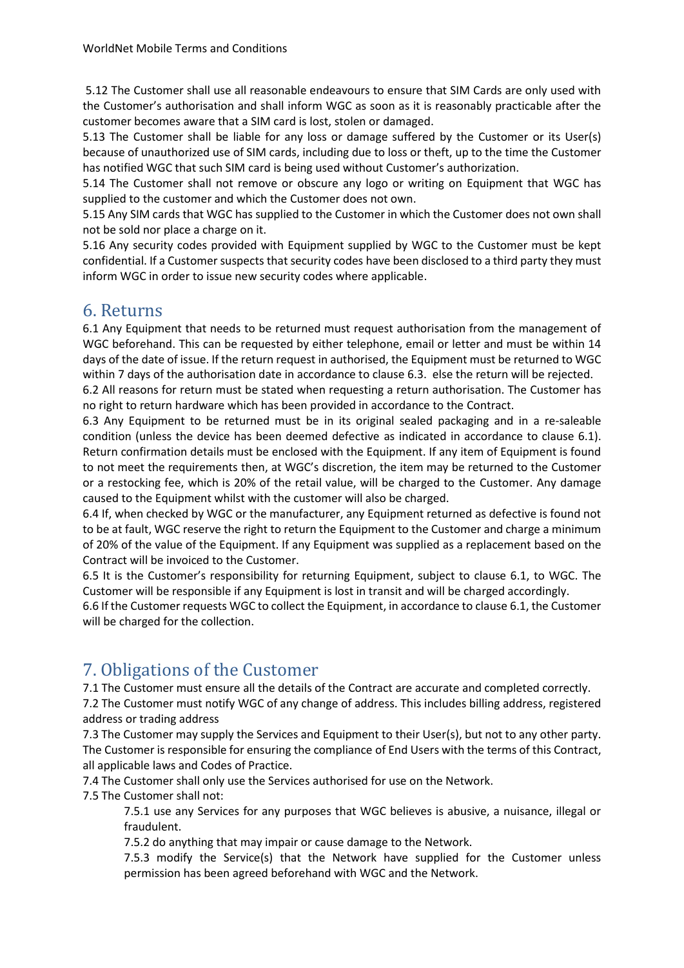5.12 The Customer shall use all reasonable endeavours to ensure that SIM Cards are only used with the Customer's authorisation and shall inform WGC as soon as it is reasonably practicable after the customer becomes aware that a SIM card is lost, stolen or damaged.

5.13 The Customer shall be liable for any loss or damage suffered by the Customer or its User(s) because of unauthorized use of SIM cards, including due to loss or theft, up to the time the Customer has notified WGC that such SIM card is being used without Customer's authorization.

5.14 The Customer shall not remove or obscure any logo or writing on Equipment that WGC has supplied to the customer and which the Customer does not own.

5.15 Any SIM cards that WGC has supplied to the Customer in which the Customer does not own shall not be sold nor place a charge on it.

5.16 Any security codes provided with Equipment supplied by WGC to the Customer must be kept confidential. If a Customer suspects that security codes have been disclosed to a third party they must inform WGC in order to issue new security codes where applicable.

#### 6. Returns

6.1 Any Equipment that needs to be returned must request authorisation from the management of WGC beforehand. This can be requested by either telephone, email or letter and must be within 14 days of the date of issue. If the return request in authorised, the Equipment must be returned to WGC within 7 days of the authorisation date in accordance to clause 6.3. else the return will be rejected.

6.2 All reasons for return must be stated when requesting a return authorisation. The Customer has no right to return hardware which has been provided in accordance to the Contract.

6.3 Any Equipment to be returned must be in its original sealed packaging and in a re-saleable condition (unless the device has been deemed defective as indicated in accordance to clause 6.1). Return confirmation details must be enclosed with the Equipment. If any item of Equipment is found to not meet the requirements then, at WGC's discretion, the item may be returned to the Customer or a restocking fee, which is 20% of the retail value, will be charged to the Customer. Any damage caused to the Equipment whilst with the customer will also be charged.

6.4 If, when checked by WGC or the manufacturer, any Equipment returned as defective is found not to be at fault, WGC reserve the right to return the Equipment to the Customer and charge a minimum of 20% of the value of the Equipment. If any Equipment was supplied as a replacement based on the Contract will be invoiced to the Customer.

6.5 It is the Customer's responsibility for returning Equipment, subject to clause 6.1, to WGC. The Customer will be responsible if any Equipment is lost in transit and will be charged accordingly.

6.6 If the Customer requests WGC to collect the Equipment, in accordance to clause 6.1, the Customer will be charged for the collection.

## 7. Obligations of the Customer

7.1 The Customer must ensure all the details of the Contract are accurate and completed correctly.

7.2 The Customer must notify WGC of any change of address. This includes billing address, registered address or trading address

7.3 The Customer may supply the Services and Equipment to their User(s), but not to any other party. The Customer is responsible for ensuring the compliance of End Users with the terms of this Contract, all applicable laws and Codes of Practice.

7.4 The Customer shall only use the Services authorised for use on the Network.

7.5 The Customer shall not:

7.5.1 use any Services for any purposes that WGC believes is abusive, a nuisance, illegal or fraudulent.

7.5.2 do anything that may impair or cause damage to the Network.

7.5.3 modify the Service(s) that the Network have supplied for the Customer unless permission has been agreed beforehand with WGC and the Network.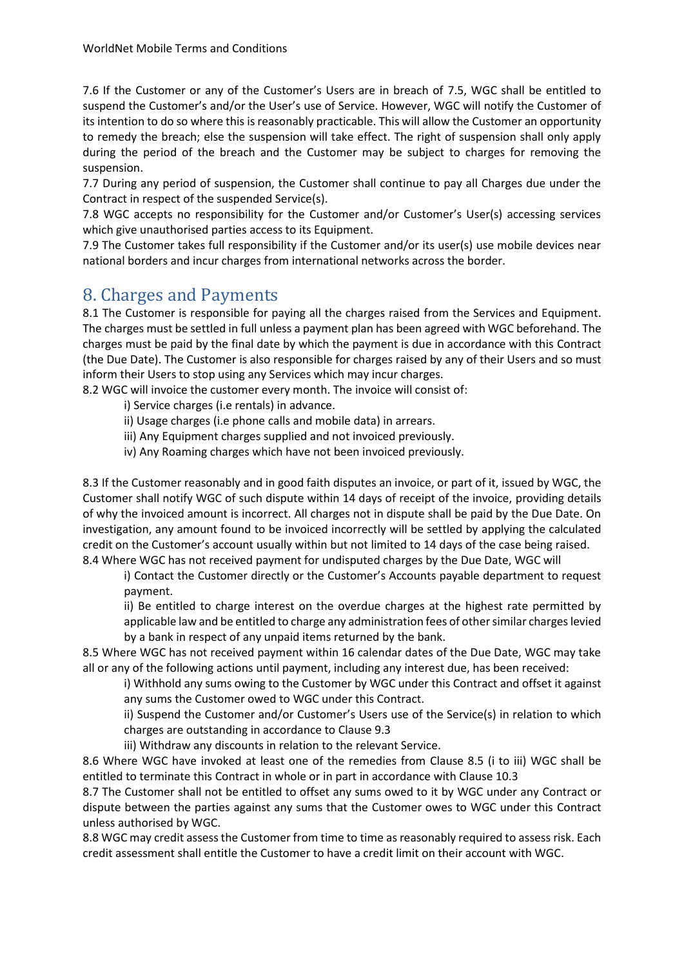7.6 If the Customer or any of the Customer's Users are in breach of 7.5, WGC shall be entitled to suspend the Customer's and/or the User's use of Service. However, WGC will notify the Customer of its intention to do so where this is reasonably practicable. This will allow the Customer an opportunity to remedy the breach; else the suspension will take effect. The right of suspension shall only apply during the period of the breach and the Customer may be subject to charges for removing the suspension.

7.7 During any period of suspension, the Customer shall continue to pay all Charges due under the Contract in respect of the suspended Service(s).

7.8 WGC accepts no responsibility for the Customer and/or Customer's User(s) accessing services which give unauthorised parties access to its Equipment.

7.9 The Customer takes full responsibility if the Customer and/or its user(s) use mobile devices near national borders and incur charges from international networks across the border.

# 8. Charges and Payments

8.1 The Customer is responsible for paying all the charges raised from the Services and Equipment. The charges must be settled in full unless a payment plan has been agreed with WGC beforehand. The charges must be paid by the final date by which the payment is due in accordance with this Contract (the Due Date). The Customer is also responsible for charges raised by any of their Users and so must inform their Users to stop using any Services which may incur charges.

8.2 WGC will invoice the customer every month. The invoice will consist of:

i) Service charges (i.e rentals) in advance.

ii) Usage charges (i.e phone calls and mobile data) in arrears.

iii) Any Equipment charges supplied and not invoiced previously.

iv) Any Roaming charges which have not been invoiced previously.

8.3 If the Customer reasonably and in good faith disputes an invoice, or part of it, issued by WGC, the Customer shall notify WGC of such dispute within 14 days of receipt of the invoice, providing details of why the invoiced amount is incorrect. All charges not in dispute shall be paid by the Due Date. On investigation, any amount found to be invoiced incorrectly will be settled by applying the calculated credit on the Customer's account usually within but not limited to 14 days of the case being raised. 8.4 Where WGC has not received payment for undisputed charges by the Due Date, WGC will

i) Contact the Customer directly or the Customer's Accounts payable department to request payment.

ii) Be entitled to charge interest on the overdue charges at the highest rate permitted by applicable law and be entitled to charge any administration fees of other similar charges levied by a bank in respect of any unpaid items returned by the bank.

8.5 Where WGC has not received payment within 16 calendar dates of the Due Date, WGC may take all or any of the following actions until payment, including any interest due, has been received:

i) Withhold any sums owing to the Customer by WGC under this Contract and offset it against any sums the Customer owed to WGC under this Contract.

ii) Suspend the Customer and/or Customer's Users use of the Service(s) in relation to which charges are outstanding in accordance to Clause 9.3

iii) Withdraw any discounts in relation to the relevant Service.

8.6 Where WGC have invoked at least one of the remedies from Clause 8.5 (i to iii) WGC shall be entitled to terminate this Contract in whole or in part in accordance with Clause 10.3

8.7 The Customer shall not be entitled to offset any sums owed to it by WGC under any Contract or dispute between the parties against any sums that the Customer owes to WGC under this Contract unless authorised by WGC.

8.8 WGC may credit assess the Customer from time to time as reasonably required to assess risk. Each credit assessment shall entitle the Customer to have a credit limit on their account with WGC.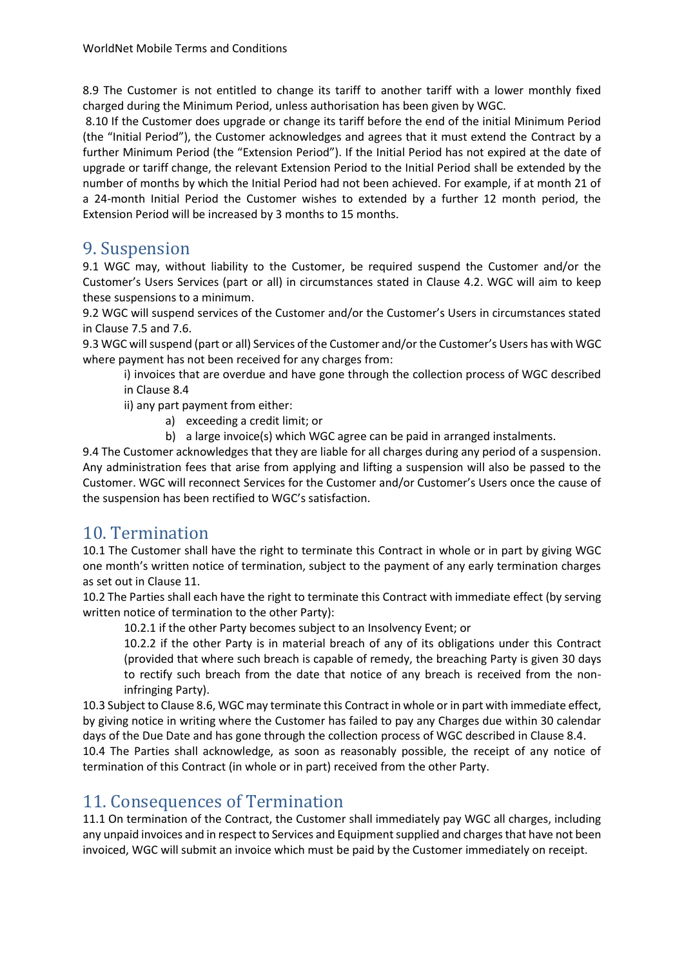8.9 The Customer is not entitled to change its tariff to another tariff with a lower monthly fixed charged during the Minimum Period, unless authorisation has been given by WGC.

8.10 If the Customer does upgrade or change its tariff before the end of the initial Minimum Period (the "Initial Period"), the Customer acknowledges and agrees that it must extend the Contract by a further Minimum Period (the "Extension Period"). If the Initial Period has not expired at the date of upgrade or tariff change, the relevant Extension Period to the Initial Period shall be extended by the number of months by which the Initial Period had not been achieved. For example, if at month 21 of a 24-month Initial Period the Customer wishes to extended by a further 12 month period, the Extension Period will be increased by 3 months to 15 months.

#### 9. Suspension

9.1 WGC may, without liability to the Customer, be required suspend the Customer and/or the Customer's Users Services (part or all) in circumstances stated in Clause 4.2. WGC will aim to keep these suspensions to a minimum.

9.2 WGC will suspend services of the Customer and/or the Customer's Users in circumstances stated in Clause 7.5 and 7.6.

9.3 WGC will suspend (part or all) Services of the Customer and/or the Customer's Users has with WGC where payment has not been received for any charges from:

i) invoices that are overdue and have gone through the collection process of WGC described in Clause 8.4

ii) any part payment from either:

- a) exceeding a credit limit; or
- b) a large invoice(s) which WGC agree can be paid in arranged instalments.

9.4 The Customer acknowledges that they are liable for all charges during any period of a suspension. Any administration fees that arise from applying and lifting a suspension will also be passed to the Customer. WGC will reconnect Services for the Customer and/or Customer's Users once the cause of the suspension has been rectified to WGC's satisfaction.

#### 10. Termination

10.1 The Customer shall have the right to terminate this Contract in whole or in part by giving WGC one month's written notice of termination, subject to the payment of any early termination charges as set out in Clause 11.

10.2 The Parties shall each have the right to terminate this Contract with immediate effect (by serving written notice of termination to the other Party):

10.2.1 if the other Party becomes subject to an Insolvency Event; or

10.2.2 if the other Party is in material breach of any of its obligations under this Contract (provided that where such breach is capable of remedy, the breaching Party is given 30 days to rectify such breach from the date that notice of any breach is received from the noninfringing Party).

10.3 Subject to Clause 8.6, WGC may terminate this Contract in whole or in part with immediate effect, by giving notice in writing where the Customer has failed to pay any Charges due within 30 calendar days of the Due Date and has gone through the collection process of WGC described in Clause 8.4.

10.4 The Parties shall acknowledge, as soon as reasonably possible, the receipt of any notice of termination of this Contract (in whole or in part) received from the other Party.

#### 11. Consequences of Termination

11.1 On termination of the Contract, the Customer shall immediately pay WGC all charges, including any unpaid invoices and in respect to Services and Equipment supplied and charges that have not been invoiced, WGC will submit an invoice which must be paid by the Customer immediately on receipt.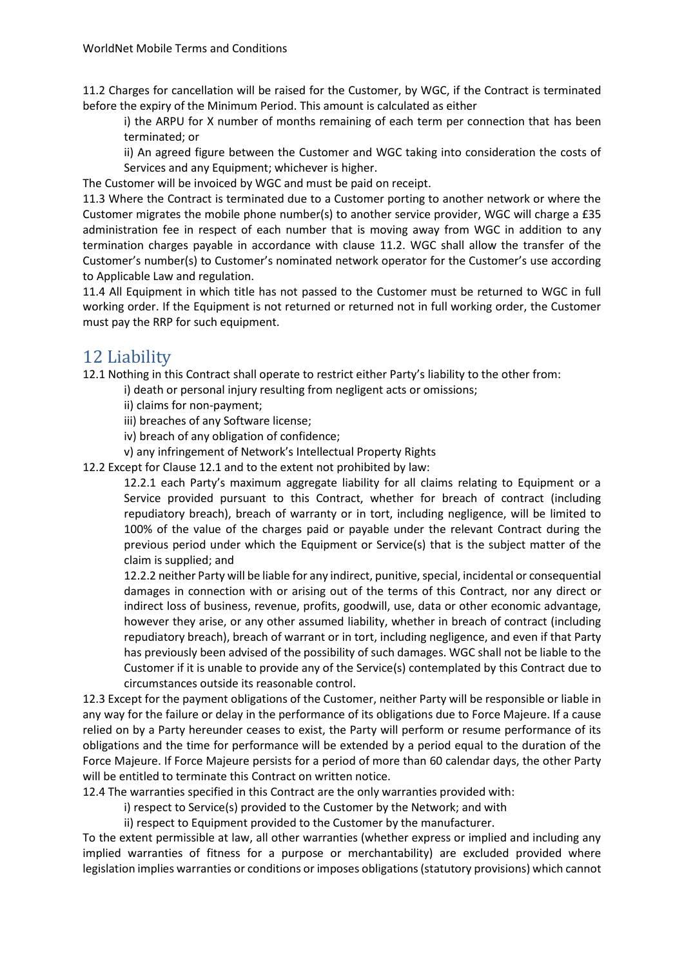11.2 Charges for cancellation will be raised for the Customer, by WGC, if the Contract is terminated before the expiry of the Minimum Period. This amount is calculated as either

i) the ARPU for X number of months remaining of each term per connection that has been terminated; or

ii) An agreed figure between the Customer and WGC taking into consideration the costs of Services and any Equipment; whichever is higher.

The Customer will be invoiced by WGC and must be paid on receipt.

11.3 Where the Contract is terminated due to a Customer porting to another network or where the Customer migrates the mobile phone number(s) to another service provider, WGC will charge a £35 administration fee in respect of each number that is moving away from WGC in addition to any termination charges payable in accordance with clause 11.2. WGC shall allow the transfer of the Customer's number(s) to Customer's nominated network operator for the Customer's use according to Applicable Law and regulation.

11.4 All Equipment in which title has not passed to the Customer must be returned to WGC in full working order. If the Equipment is not returned or returned not in full working order, the Customer must pay the RRP for such equipment.

#### 12 Liability

12.1 Nothing in this Contract shall operate to restrict either Party's liability to the other from:

i) death or personal injury resulting from negligent acts or omissions;

ii) claims for non-payment;

iii) breaches of any Software license;

iv) breach of any obligation of confidence;

v) any infringement of Network's Intellectual Property Rights

12.2 Except for Clause 12.1 and to the extent not prohibited by law:

12.2.1 each Party's maximum aggregate liability for all claims relating to Equipment or a Service provided pursuant to this Contract, whether for breach of contract (including repudiatory breach), breach of warranty or in tort, including negligence, will be limited to 100% of the value of the charges paid or payable under the relevant Contract during the previous period under which the Equipment or Service(s) that is the subject matter of the claim is supplied; and

12.2.2 neither Party will be liable for any indirect, punitive, special, incidental or consequential damages in connection with or arising out of the terms of this Contract, nor any direct or indirect loss of business, revenue, profits, goodwill, use, data or other economic advantage, however they arise, or any other assumed liability, whether in breach of contract (including repudiatory breach), breach of warrant or in tort, including negligence, and even if that Party has previously been advised of the possibility of such damages. WGC shall not be liable to the Customer if it is unable to provide any of the Service(s) contemplated by this Contract due to circumstances outside its reasonable control.

12.3 Except for the payment obligations of the Customer, neither Party will be responsible or liable in any way for the failure or delay in the performance of its obligations due to Force Majeure. If a cause relied on by a Party hereunder ceases to exist, the Party will perform or resume performance of its obligations and the time for performance will be extended by a period equal to the duration of the Force Majeure. If Force Majeure persists for a period of more than 60 calendar days, the other Party will be entitled to terminate this Contract on written notice.

12.4 The warranties specified in this Contract are the only warranties provided with:

i) respect to Service(s) provided to the Customer by the Network; and with

ii) respect to Equipment provided to the Customer by the manufacturer.

To the extent permissible at law, all other warranties (whether express or implied and including any implied warranties of fitness for a purpose or merchantability) are excluded provided where legislation implies warranties or conditions or imposes obligations (statutory provisions) which cannot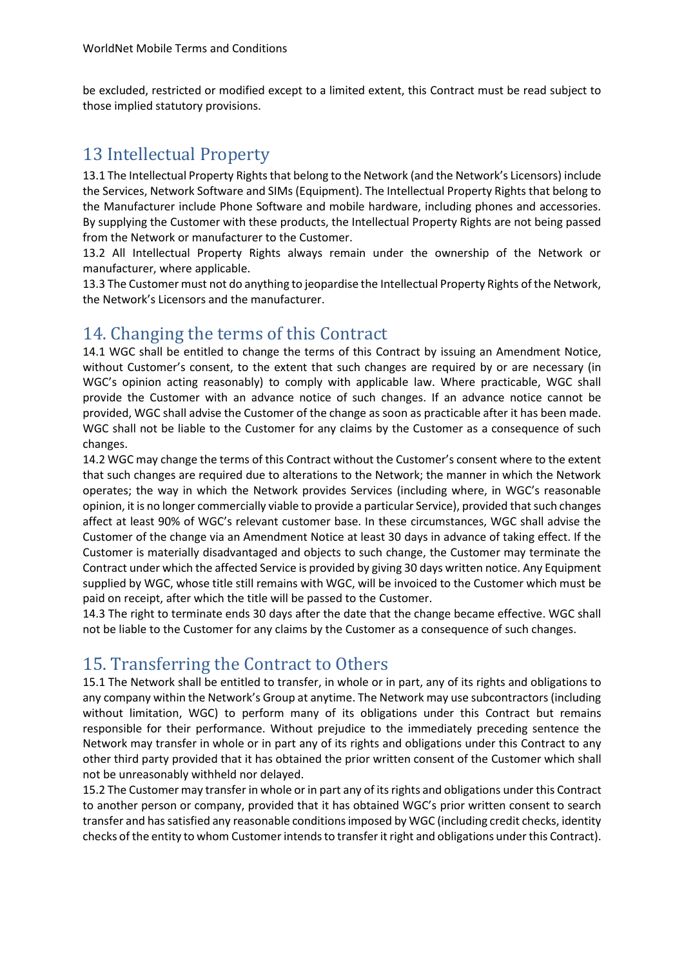be excluded, restricted or modified except to a limited extent, this Contract must be read subject to those implied statutory provisions.

## 13 Intellectual Property

13.1 The Intellectual Property Rights that belong to the Network (and the Network's Licensors) include the Services, Network Software and SIMs (Equipment). The Intellectual Property Rights that belong to the Manufacturer include Phone Software and mobile hardware, including phones and accessories. By supplying the Customer with these products, the Intellectual Property Rights are not being passed from the Network or manufacturer to the Customer.

13.2 All Intellectual Property Rights always remain under the ownership of the Network or manufacturer, where applicable.

13.3 The Customer must not do anything to jeopardise the Intellectual Property Rights of the Network, the Network's Licensors and the manufacturer.

# 14. Changing the terms of this Contract

14.1 WGC shall be entitled to change the terms of this Contract by issuing an Amendment Notice, without Customer's consent, to the extent that such changes are required by or are necessary (in WGC's opinion acting reasonably) to comply with applicable law. Where practicable, WGC shall provide the Customer with an advance notice of such changes. If an advance notice cannot be provided, WGC shall advise the Customer of the change as soon as practicable after it has been made. WGC shall not be liable to the Customer for any claims by the Customer as a consequence of such changes.

14.2 WGC may change the terms of this Contract without the Customer's consent where to the extent that such changes are required due to alterations to the Network; the manner in which the Network operates; the way in which the Network provides Services (including where, in WGC's reasonable opinion, it is no longer commercially viable to provide a particular Service), provided that such changes affect at least 90% of WGC's relevant customer base. In these circumstances, WGC shall advise the Customer of the change via an Amendment Notice at least 30 days in advance of taking effect. If the Customer is materially disadvantaged and objects to such change, the Customer may terminate the Contract under which the affected Service is provided by giving 30 days written notice. Any Equipment supplied by WGC, whose title still remains with WGC, will be invoiced to the Customer which must be paid on receipt, after which the title will be passed to the Customer.

14.3 The right to terminate ends 30 days after the date that the change became effective. WGC shall not be liable to the Customer for any claims by the Customer as a consequence of such changes.

## 15. Transferring the Contract to Others

15.1 The Network shall be entitled to transfer, in whole or in part, any of its rights and obligations to any company within the Network's Group at anytime. The Network may use subcontractors(including without limitation, WGC) to perform many of its obligations under this Contract but remains responsible for their performance. Without prejudice to the immediately preceding sentence the Network may transfer in whole or in part any of its rights and obligations under this Contract to any other third party provided that it has obtained the prior written consent of the Customer which shall not be unreasonably withheld nor delayed.

15.2 The Customer may transfer in whole or in part any of its rights and obligations under this Contract to another person or company, provided that it has obtained WGC's prior written consent to search transfer and has satisfied any reasonable conditions imposed by WGC (including credit checks, identity checks of the entity to whom Customer intends to transfer it right and obligations under this Contract).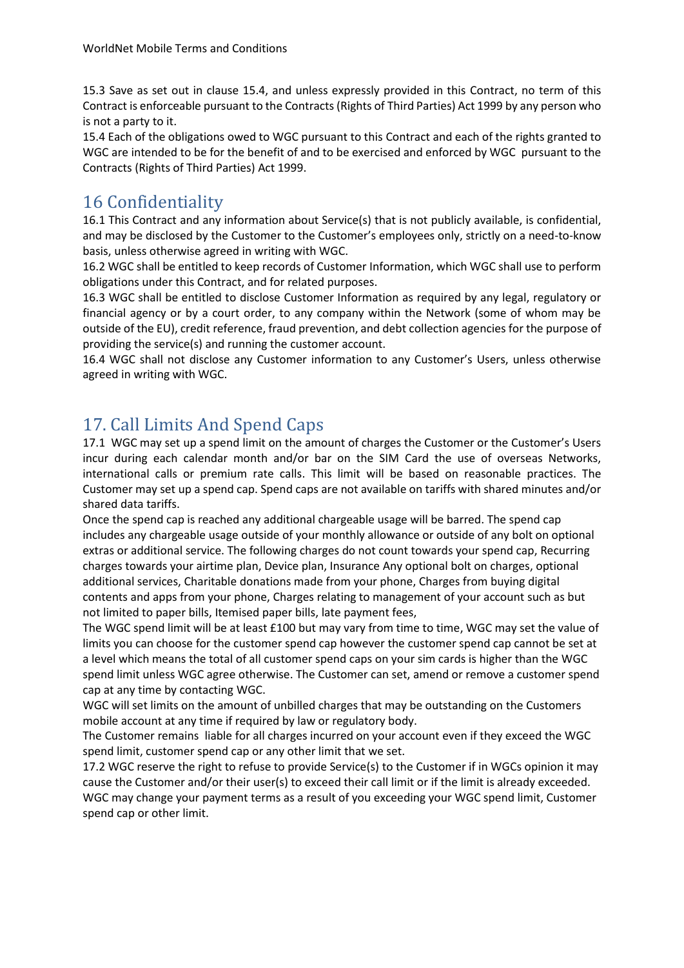15.3 Save as set out in clause 15.4, and unless expressly provided in this Contract, no term of this Contract is enforceable pursuant to the Contracts (Rights of Third Parties) Act 1999 by any person who is not a party to it.

15.4 Each of the obligations owed to WGC pursuant to this Contract and each of the rights granted to WGC are intended to be for the benefit of and to be exercised and enforced by WGC pursuant to the Contracts (Rights of Third Parties) Act 1999.

#### 16 Confidentiality

16.1 This Contract and any information about Service(s) that is not publicly available, is confidential, and may be disclosed by the Customer to the Customer's employees only, strictly on a need-to-know basis, unless otherwise agreed in writing with WGC.

16.2 WGC shall be entitled to keep records of Customer Information, which WGC shall use to perform obligations under this Contract, and for related purposes.

16.3 WGC shall be entitled to disclose Customer Information as required by any legal, regulatory or financial agency or by a court order, to any company within the Network (some of whom may be outside of the EU), credit reference, fraud prevention, and debt collection agencies for the purpose of providing the service(s) and running the customer account.

16.4 WGC shall not disclose any Customer information to any Customer's Users, unless otherwise agreed in writing with WGC.

## 17. Call Limits And Spend Caps

17.1 WGC may set up a spend limit on the amount of charges the Customer or the Customer's Users incur during each calendar month and/or bar on the SIM Card the use of overseas Networks, international calls or premium rate calls. This limit will be based on reasonable practices. The Customer may set up a spend cap. Spend caps are not available on tariffs with shared minutes and/or shared data tariffs.

Once the spend cap is reached any additional chargeable usage will be barred. The spend cap includes any chargeable usage outside of your monthly allowance or outside of any bolt on optional extras or additional service. The following charges do not count towards your spend cap, Recurring charges towards your airtime plan, Device plan, Insurance Any optional bolt on charges, optional additional services, Charitable donations made from your phone, Charges from buying digital contents and apps from your phone, Charges relating to management of your account such as but not limited to paper bills, Itemised paper bills, late payment fees,

The WGC spend limit will be at least £100 but may vary from time to time, WGC may set the value of limits you can choose for the customer spend cap however the customer spend cap cannot be set at a level which means the total of all customer spend caps on your sim cards is higher than the WGC spend limit unless WGC agree otherwise. The Customer can set, amend or remove a customer spend cap at any time by contacting WGC.

WGC will set limits on the amount of unbilled charges that may be outstanding on the Customers mobile account at any time if required by law or regulatory body.

The Customer remains liable for all charges incurred on your account even if they exceed the WGC spend limit, customer spend cap or any other limit that we set.

17.2 WGC reserve the right to refuse to provide Service(s) to the Customer if in WGCs opinion it may cause the Customer and/or their user(s) to exceed their call limit or if the limit is already exceeded. WGC may change your payment terms as a result of you exceeding your WGC spend limit, Customer spend cap or other limit.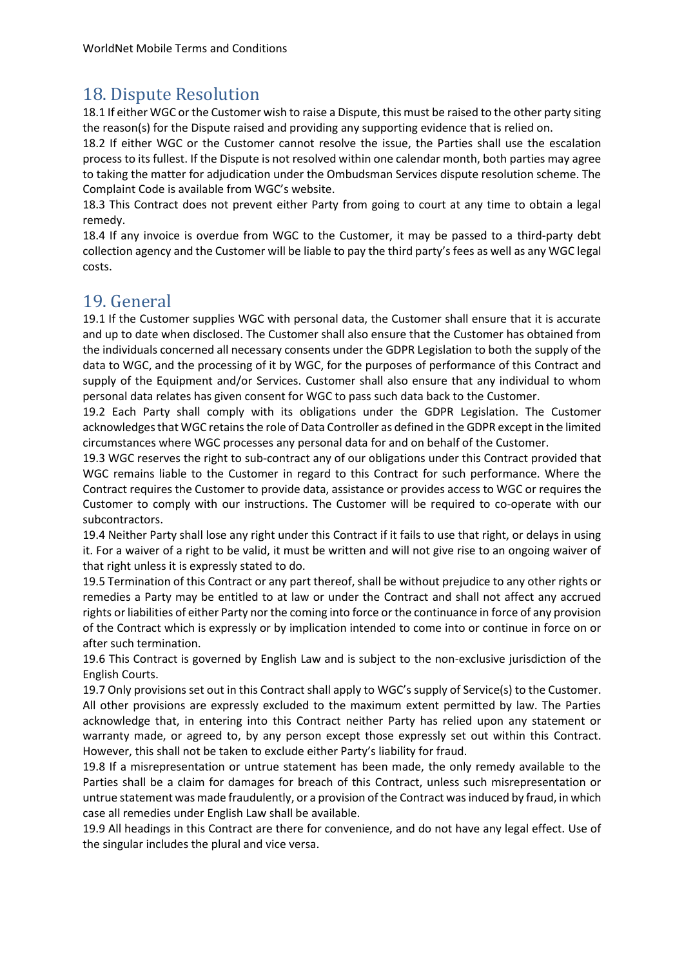## 18. Dispute Resolution

18.1 If either WGC or the Customer wish to raise a Dispute, this must be raised to the other party siting the reason(s) for the Dispute raised and providing any supporting evidence that is relied on.

18.2 If either WGC or the Customer cannot resolve the issue, the Parties shall use the escalation process to its fullest. If the Dispute is not resolved within one calendar month, both parties may agree to taking the matter for adjudication under the Ombudsman Services dispute resolution scheme. The Complaint Code is available from WGC's website.

18.3 This Contract does not prevent either Party from going to court at any time to obtain a legal remedy.

18.4 If any invoice is overdue from WGC to the Customer, it may be passed to a third-party debt collection agency and the Customer will be liable to pay the third party's fees as well as any WGC legal costs.

## 19. General

19.1 If the Customer supplies WGC with personal data, the Customer shall ensure that it is accurate and up to date when disclosed. The Customer shall also ensure that the Customer has obtained from the individuals concerned all necessary consents under the GDPR Legislation to both the supply of the data to WGC, and the processing of it by WGC, for the purposes of performance of this Contract and supply of the Equipment and/or Services. Customer shall also ensure that any individual to whom personal data relates has given consent for WGC to pass such data back to the Customer.

19.2 Each Party shall comply with its obligations under the GDPR Legislation. The Customer acknowledges that WGC retains the role of Data Controller as defined in the GDPR except in the limited circumstances where WGC processes any personal data for and on behalf of the Customer.

19.3 WGC reserves the right to sub-contract any of our obligations under this Contract provided that WGC remains liable to the Customer in regard to this Contract for such performance. Where the Contract requires the Customer to provide data, assistance or provides access to WGC or requires the Customer to comply with our instructions. The Customer will be required to co-operate with our subcontractors.

19.4 Neither Party shall lose any right under this Contract if it fails to use that right, or delays in using it. For a waiver of a right to be valid, it must be written and will not give rise to an ongoing waiver of that right unless it is expressly stated to do.

19.5 Termination of this Contract or any part thereof, shall be without prejudice to any other rights or remedies a Party may be entitled to at law or under the Contract and shall not affect any accrued rights or liabilities of either Party nor the coming into force or the continuance in force of any provision of the Contract which is expressly or by implication intended to come into or continue in force on or after such termination.

19.6 This Contract is governed by English Law and is subject to the non-exclusive jurisdiction of the English Courts.

19.7 Only provisions set out in this Contract shall apply to WGC's supply of Service(s) to the Customer. All other provisions are expressly excluded to the maximum extent permitted by law. The Parties acknowledge that, in entering into this Contract neither Party has relied upon any statement or warranty made, or agreed to, by any person except those expressly set out within this Contract. However, this shall not be taken to exclude either Party's liability for fraud.

19.8 If a misrepresentation or untrue statement has been made, the only remedy available to the Parties shall be a claim for damages for breach of this Contract, unless such misrepresentation or untrue statement was made fraudulently, or a provision of the Contract was induced by fraud, in which case all remedies under English Law shall be available.

19.9 All headings in this Contract are there for convenience, and do not have any legal effect. Use of the singular includes the plural and vice versa.